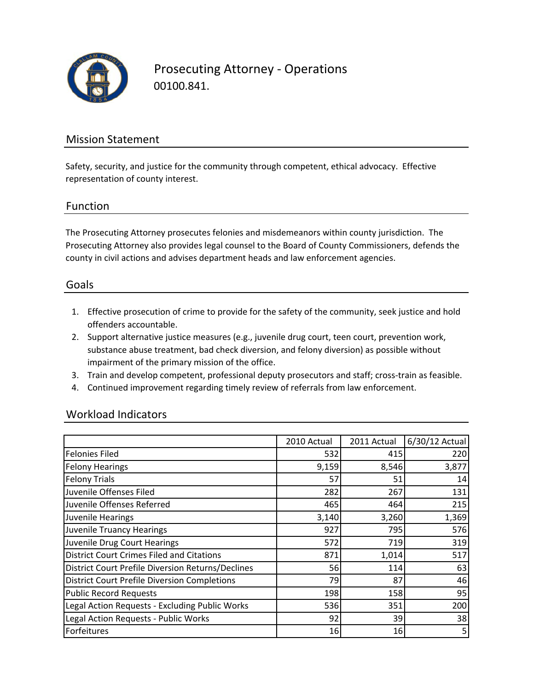

Prosecuting Attorney ‐ Operations 00100.841.

### Mission Statement

Safety, security, and justice for the community through competent, ethical advocacy. Effective representation of county interest.

### Function

The Prosecuting Attorney prosecutes felonies and misdemeanors within county jurisdiction. The Prosecuting Attorney also provides legal counsel to the Board of County Commissioners, defends the county in civil actions and advises department heads and law enforcement agencies.

### Goals

- 1. Effective prosecution of crime to provide for the safety of the community, seek justice and hold offenders accountable.
- 2. Support alternative justice measures (e.g., juvenile drug court, teen court, prevention work, substance abuse treatment, bad check diversion, and felony diversion) as possible without impairment of the primary mission of the office.
- 3. Train and develop competent, professional deputy prosecutors and staff; cross‐train as feasible.
- 4. Continued improvement regarding timely review of referrals from law enforcement.

### Workload Indicators

|                                                          | 2010 Actual     | 2011 Actual | 6/30/12 Actual |
|----------------------------------------------------------|-----------------|-------------|----------------|
| <b>Felonies Filed</b>                                    | 5321            | 415         | 220            |
| <b>Felony Hearings</b>                                   | 9,159           | 8,546       | 3,877          |
| <b>Felony Trials</b>                                     | 57              | 51          | 14             |
| Juvenile Offenses Filed                                  | 282             | 267         | 131            |
| Juvenile Offenses Referred                               | 465             | 464         | 215            |
| Juvenile Hearings                                        | 3,140           | 3,260       | 1,369          |
| <b>Juvenile Truancy Hearings</b>                         | 927             | 795         | 576            |
| Juvenile Drug Court Hearings                             | 572             | 719         | 319            |
| <b>District Court Crimes Filed and Citations</b>         | 871             | 1,014       | 517            |
| <b>District Court Prefile Diversion Returns/Declines</b> | 56              | 114         | 63             |
| <b>District Court Prefile Diversion Completions</b>      | 79              | 87          | 46             |
| <b>Public Record Requests</b>                            | 198             | 158         | 95             |
| Legal Action Requests - Excluding Public Works           | 536             | 351         | 200            |
| Legal Action Requests - Public Works                     | 92 <sub>l</sub> | 39          | 38             |
| Forfeitures                                              | 16              | 16          | 5              |